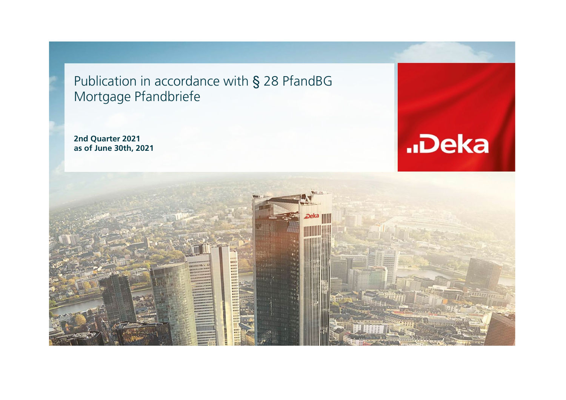Publication in accordance with § 28 PfandBG Mortgage Pfandbriefe

**2nd Quarter 2021 as of June 30th, 2021**



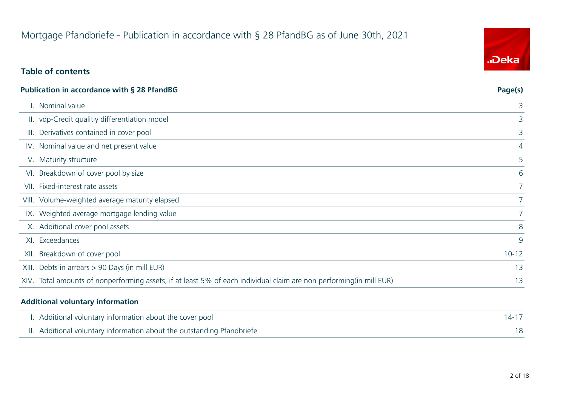## Mortgage Pfandbriefe - Publication in accordance with § 28 PfandBG as of June 30th, 2021

## **Table of contents**

|      | <b>Publication in accordance with § 28 PfandBG</b>                                                                   | Page(s)        |
|------|----------------------------------------------------------------------------------------------------------------------|----------------|
|      | . Nominal value                                                                                                      | 3              |
|      | II. vdp-Credit qualitiy differentiation model                                                                        | 3              |
|      | III. Derivatives contained in cover pool                                                                             | 3              |
|      | IV. Nominal value and net present value                                                                              | $\overline{4}$ |
|      | V. Maturity structure                                                                                                | 5              |
|      | VI. Breakdown of cover pool by size                                                                                  | 6              |
|      | VII. Fixed-interest rate assets                                                                                      | 7 <sup>1</sup> |
|      | VIII. Volume-weighted average maturity elapsed                                                                       |                |
|      | IX. Weighted average mortgage lending value                                                                          |                |
|      | X. Additional cover pool assets                                                                                      | 8              |
|      | XI. Exceedances                                                                                                      | 9              |
| XII. | Breakdown of cover pool                                                                                              | $10 - 12$      |
|      | XIII. Debts in arrears > 90 Days (in mill EUR)                                                                       | 13             |
|      | XIV. Total amounts of nonperforming assets, if at least 5% of each individual claim are non performing (in mill EUR) | 13             |

#### **Additional voluntary information**

 $\overline{\phantom{a}}$ 

| I. Additional voluntary information about the cover pool               |  |
|------------------------------------------------------------------------|--|
| II. Additional voluntary information about the outstanding Pfandbriefe |  |

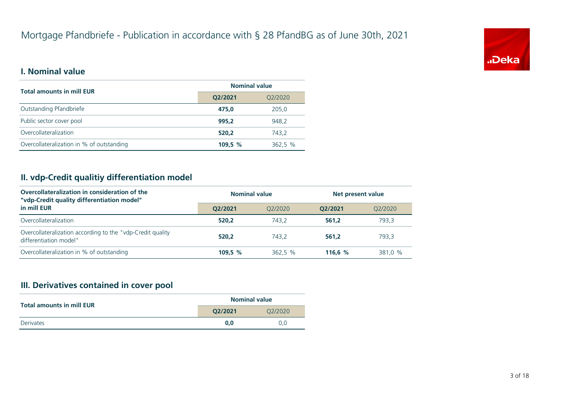

### **I. Nominal value**

| <b>Total amounts in mill EUR</b>          | <b>Nominal value</b> |         |  |
|-------------------------------------------|----------------------|---------|--|
|                                           | Q2/2021<br>Q2/2020   |         |  |
| Outstanding Pfandbriefe                   | 475.0                | 205,0   |  |
| Public sector cover pool                  | 995.2                | 948.2   |  |
| Overcollateralization                     | 520.2                | 743.2   |  |
| Overcollateralization in % of outstanding | 109.5%               | 362,5 % |  |

## **II. vdp-Credit qualitiy differentiation model**

| Overcollateralization in consideration of the<br>"vdp-Credit quality differentiation model" | <b>Nominal value</b> |         |           | Net present value |  |
|---------------------------------------------------------------------------------------------|----------------------|---------|-----------|-------------------|--|
| in mill EUR                                                                                 | O2/2021              | 02/2020 | O2/2021   | O2/2020           |  |
| Overcollateralization                                                                       | 520.2                | 743.2   | 561.2     | 793.3             |  |
| Overcollateralization according to the "vdp-Credit quality<br>differentiation model"        | 520.2                | 743.2   | 561.2     | 793.3             |  |
| Overcollateralization in % of outstanding                                                   | 109,5 %              | 362,5 % | 116.6 $%$ | 381.0 %           |  |

## **III. Derivatives contained in cover pool**

| <b>Total amounts in mill EUR</b> | <b>Nominal value</b> |         |  |
|----------------------------------|----------------------|---------|--|
| 02/2021                          |                      | 02/2020 |  |
| Derivates                        | 0.0                  | 0.0     |  |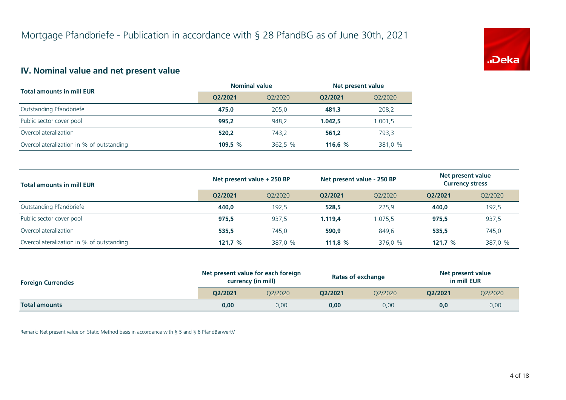

## **IV. Nominal value and net present value**

| <b>Total amounts in mill EUR</b>          | <b>Nominal value</b> |         |           | Net present value |  |
|-------------------------------------------|----------------------|---------|-----------|-------------------|--|
|                                           | O2/2021              | 02/2020 | O2/2021   | Q2/2020           |  |
| Outstanding Pfandbriefe                   | 475.0                | 205.0   | 481.3     | 208,2             |  |
| Public sector cover pool                  | 995.2                | 948.2   | 1.042.5   | 1.001,5           |  |
| Overcollateralization                     | 520.2                | 743.2   | 561.2     | 793.3             |  |
| Overcollateralization in % of outstanding | 109,5 $%$            | 362,5 % | 116.6 $%$ | 381,0 %           |  |

| <b>Total amounts in mill EUR</b>          | Net present value + 250 BP |         | Net present value - 250 BP |         | Net present value<br><b>Currency stress</b> |         |
|-------------------------------------------|----------------------------|---------|----------------------------|---------|---------------------------------------------|---------|
|                                           | O2/2021                    | O2/2020 | O2/2021                    | 02/2020 | O2/2021                                     | Q2/2020 |
| Outstanding Pfandbriefe                   | 440.0                      | 192,5   | 528,5                      | 225,9   | 440.0                                       | 192,5   |
| Public sector cover pool                  | 975.5                      | 937,5   | 1.119.4                    | 1.075.5 | 975.5                                       | 937,5   |
| Overcollateralization                     | 535,5                      | 745.0   | 590,9                      | 849.6   | 535,5                                       | 745,0   |
| Overcollateralization in % of outstanding | 121.7%                     | 387,0 % | 111,8 $%$                  | 376,0 % | 121,7%                                      | 387,0 % |

| <b>Foreign Currencies</b> |         | Net present value for each foreign<br>currency (in mill) |         | <b>Rates of exchange</b> | Net present value<br>in mill EUR |         |
|---------------------------|---------|----------------------------------------------------------|---------|--------------------------|----------------------------------|---------|
|                           | O2/2021 | 02/2020                                                  | O2/2021 | O2/2020                  | O2/2021                          | Q2/2020 |
| <b>Total amounts</b>      | 0,00    | 0.00                                                     | 0,00    | 0.00                     | 0,0                              | 0,00    |

Remark: Net present value on Static Method basis in accordance with § 5 and § 6 PfandBarwertV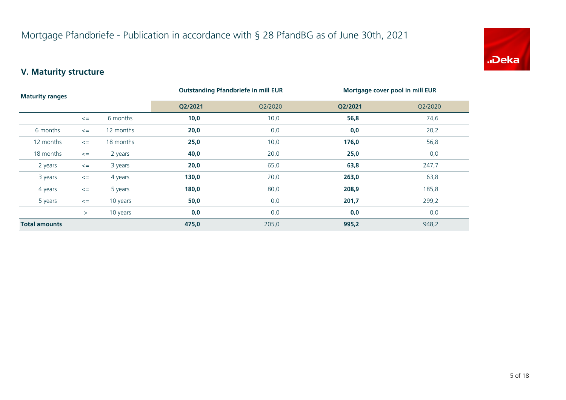

## **V. Maturity structure**

| <b>Maturity ranges</b> |        |           | <b>Outstanding Pfandbriefe in mill EUR</b> |         | Mortgage cover pool in mill EUR |         |  |
|------------------------|--------|-----------|--------------------------------------------|---------|---------------------------------|---------|--|
|                        |        |           | Q2/2021                                    | Q2/2020 | Q2/2021                         | Q2/2020 |  |
|                        | $\leq$ | 6 months  | 10,0                                       | 10,0    | 56,8                            | 74,6    |  |
| 6 months               | $\leq$ | 12 months | 20,0                                       | 0,0     | 0,0                             | 20,2    |  |
| 12 months              | $\leq$ | 18 months | 25,0                                       | 10,0    | 176,0                           | 56,8    |  |
| 18 months              | $\leq$ | 2 years   | 40,0                                       | 20,0    | 25,0                            | 0,0     |  |
| 2 years                | $\leq$ | 3 years   | 20,0                                       | 65,0    | 63,8                            | 247,7   |  |
| 3 years                | $\leq$ | 4 years   | 130,0                                      | 20,0    | 263,0                           | 63,8    |  |
| 4 years                | $\leq$ | 5 years   | 180,0                                      | 80,0    | 208,9                           | 185,8   |  |
| 5 years                | $\leq$ | 10 years  | 50,0                                       | 0,0     | 201,7                           | 299,2   |  |
|                        | $\geq$ | 10 years  | 0,0                                        | 0,0     | 0,0                             | 0,0     |  |
| <b>Total amounts</b>   |        | 475,0     | 205,0                                      | 995,2   | 948,2                           |         |  |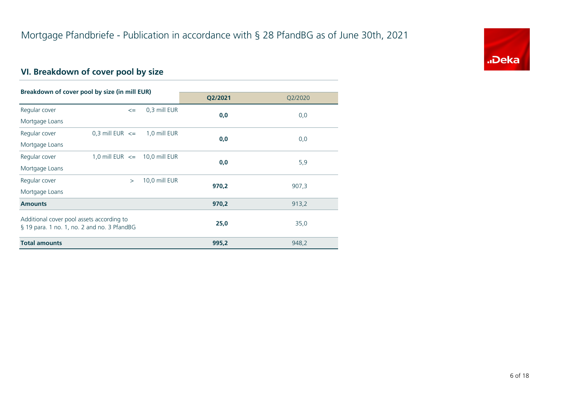

## **VI. Breakdown of cover pool by size**

| Breakdown of cover pool by size (in mill EUR) |                                   |               |         |         |
|-----------------------------------------------|-----------------------------------|---------------|---------|---------|
|                                               |                                   |               | Q2/2021 | Q2/2020 |
| Regular cover                                 | $\leq$                            | 0,3 mill EUR  | 0,0     | 0,0     |
| Mortgage Loans                                |                                   |               |         |         |
| Regular cover                                 | 0,3 mill EUR $\leq$               | 1,0 mill EUR  | 0,0     | 0,0     |
| Mortgage Loans                                |                                   |               |         |         |
| Regular cover                                 | 1,0 mill EUR $\leq$ 10,0 mill EUR |               | 0,0     | 5,9     |
| Mortgage Loans                                |                                   |               |         |         |
| Regular cover                                 | $\geq$                            | 10,0 mill EUR | 970,2   | 907,3   |
| Mortgage Loans                                |                                   |               |         |         |
| <b>Amounts</b>                                |                                   |               | 970,2   | 913,2   |
| Additional cover pool assets according to     |                                   |               |         |         |
| § 19 para. 1 no. 1, no. 2 and no. 3 PfandBG   |                                   |               | 25,0    | 35,0    |
| <b>Total amounts</b>                          |                                   |               | 995,2   | 948,2   |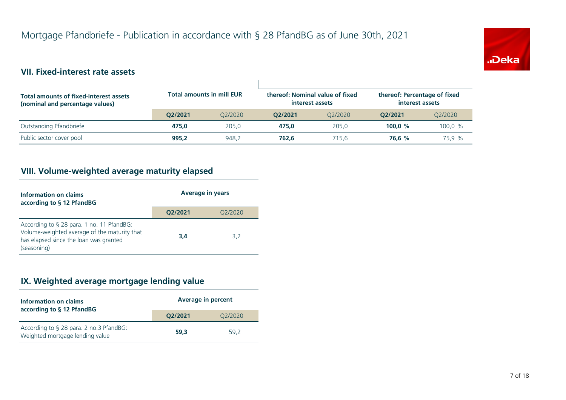

## **VII. Fixed-interest rate assets**

| <b>Total amounts of fixed-interest assets</b><br>(nominal and percentage values) | <b>Total amounts in mill EUR</b> |         | thereof: Nominal value of fixed<br>interest assets |         | thereof: Percentage of fixed<br>interest assets |         |
|----------------------------------------------------------------------------------|----------------------------------|---------|----------------------------------------------------|---------|-------------------------------------------------|---------|
|                                                                                  | O2/2021                          | 02/2020 | O2/2021                                            | O2/2020 | O2/2021                                         | Q2/2020 |
| Outstanding Pfandbriefe                                                          | 475.0                            | 205.0   | 475.0                                              | 205.0   | 100.0 $%$                                       | 100.0 % |
| Public sector cover pool                                                         | 995.2                            | 948.2   | 762.6                                              | 715.6   | 76.6 %                                          | 75.9 %  |

## **VIII. Volume-weighted average maturity elapsed**

| Information on claims<br>according to § 12 PfandBG                                                                                                 | <b>Average in years</b> |         |  |
|----------------------------------------------------------------------------------------------------------------------------------------------------|-------------------------|---------|--|
|                                                                                                                                                    | Q2/2021                 | Q2/2020 |  |
| According to § 28 para. 1 no. 11 PfandBG:<br>Volume-weighted average of the maturity that<br>has elapsed since the loan was granted<br>(seasoning) | 3.4                     | 3,2     |  |

## **IX. Weighted average mortgage lending value**

| Information on claims<br>according to § 12 PfandBG                         | <b>Average in percent</b> |         |  |
|----------------------------------------------------------------------------|---------------------------|---------|--|
|                                                                            | Q2/2021                   | Q2/2020 |  |
| According to § 28 para. 2 no.3 PfandBG:<br>Weighted mortgage lending value | 59.3                      | 59.2    |  |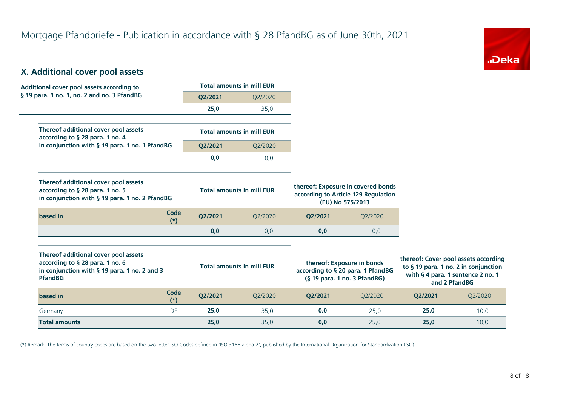

## **X. Additional cover pool assets**

| Additional cover pool assets according to                                                                                                 |                      |         | <b>Total amounts in mill EUR</b> |                                                                                                 |                                     |         |                                                                                                                                    |
|-------------------------------------------------------------------------------------------------------------------------------------------|----------------------|---------|----------------------------------|-------------------------------------------------------------------------------------------------|-------------------------------------|---------|------------------------------------------------------------------------------------------------------------------------------------|
| § 19 para. 1 no. 1, no. 2 and no. 3 PfandBG                                                                                               |                      | Q2/2021 | Q2/2020                          |                                                                                                 |                                     |         |                                                                                                                                    |
|                                                                                                                                           |                      | 25,0    | 35,0                             |                                                                                                 |                                     |         |                                                                                                                                    |
| Thereof additional cover pool assets<br>according to § 28 para. 1 no. 4                                                                   |                      |         | <b>Total amounts in mill EUR</b> |                                                                                                 |                                     |         |                                                                                                                                    |
| in conjunction with § 19 para. 1 no. 1 PfandBG                                                                                            |                      | Q2/2021 | Q2/2020                          |                                                                                                 |                                     |         |                                                                                                                                    |
|                                                                                                                                           |                      | 0,0     | 0,0                              |                                                                                                 |                                     |         |                                                                                                                                    |
| Thereof additional cover pool assets<br>according to § 28 para. 1 no. 5<br>in conjunction with § 19 para. 1 no. 2 PfandBG                 |                      |         | <b>Total amounts in mill EUR</b> | thereof: Exposure in covered bonds<br>(EU) No 575/2013                                          | according to Article 129 Regulation |         |                                                                                                                                    |
| based in                                                                                                                                  | Code<br>$(*)$        | Q2/2021 | Q2/2020                          | Q2/2021                                                                                         | Q2/2020                             |         |                                                                                                                                    |
|                                                                                                                                           |                      | 0,0     | 0,0                              | 0,0                                                                                             | 0,0                                 |         |                                                                                                                                    |
| Thereof additional cover pool assets<br>according to § 28 para. 1 no. 6<br>in conjunction with § 19 para. 1 no. 2 and 3<br><b>PfandBG</b> |                      |         | <b>Total amounts in mill EUR</b> | thereof: Exposure in bonds<br>according to § 20 para. 1 PfandBG<br>(§ 19 para. 1 no. 3 PfandBG) |                                     |         | thereof: Cover pool assets according<br>to § 19 para. 1 no. 2 in conjunction<br>with § 4 para. 1 sentence 2 no. 1<br>and 2 PfandBG |
| based in                                                                                                                                  | <b>Code</b><br>$(*)$ | Q2/2021 | Q2/2020                          | Q2/2021                                                                                         | Q2/2020                             | Q2/2021 | Q2/2020                                                                                                                            |
| Germany                                                                                                                                   | DE                   | 25,0    | 35,0                             | 0,0                                                                                             | 25,0                                | 25,0    | 10,0                                                                                                                               |
| <b>Total amounts</b>                                                                                                                      |                      | 25,0    | 35,0                             | 0,0                                                                                             | 25,0                                | 25,0    | 10,0                                                                                                                               |

(\*) Remark: The terms of country codes are based on the two-letter ISO-Codes defined in 'ISO 3166 alpha-2', published by the International Organization for Standardization (ISO).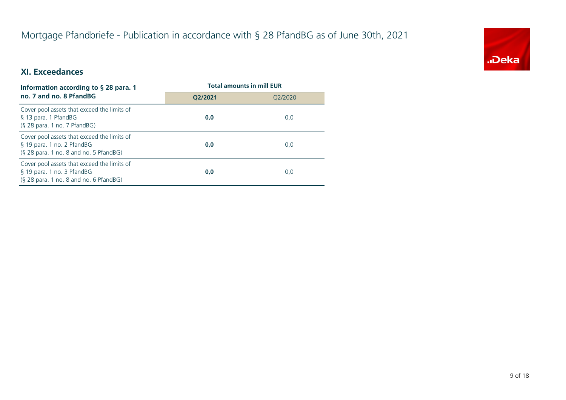## Mortgage Pfandbriefe - Publication in accordance with § 28 PfandBG as of June 30th, 2021



## **XI. Exceedances**

| Information according to $\S$ 28 para. 1                                                                              | <b>Total amounts in mill EUR</b> |         |  |
|-----------------------------------------------------------------------------------------------------------------------|----------------------------------|---------|--|
| no. 7 and no. 8 PfandBG                                                                                               | O2/2021                          | 02/2020 |  |
| Cover pool assets that exceed the limits of<br>§ 13 para. 1 PfandBG<br>$(S$ 28 para. 1 no. 7 PfandBG)                 | 0,0                              | 0,0     |  |
| Cover pool assets that exceed the limits of<br>§ 19 para. 1 no. 2 PfandBG<br>$(S$ 28 para. 1 no. 8 and no. 5 PfandBG) | 0,0                              | 0,0     |  |
| Cover pool assets that exceed the limits of<br>§ 19 para. 1 no. 3 PfandBG<br>(§ 28 para. 1 no. 8 and no. 6 PfandBG)   | 0,0                              | 0,0     |  |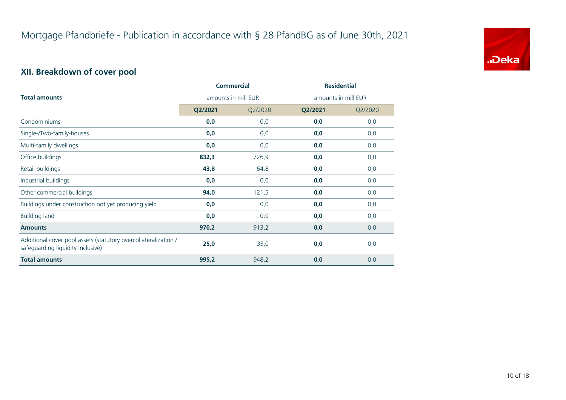

## **XII. Breakdown of cover pool**

|                                                                                                      |                     | <b>Commercial</b> | <b>Residential</b>  |         |
|------------------------------------------------------------------------------------------------------|---------------------|-------------------|---------------------|---------|
| <b>Total amounts</b>                                                                                 | amounts in mill EUR |                   | amounts in mill EUR |         |
|                                                                                                      | Q2/2021             | Q2/2020           | Q2/2021             | Q2/2020 |
| Condominiums                                                                                         | 0,0                 | 0,0               | 0,0                 | 0,0     |
| Single-/Two-family-houses                                                                            | 0,0                 | 0,0               | 0,0                 | 0,0     |
| Multi-family dwellings                                                                               | 0,0                 | 0,0               | 0,0                 | 0,0     |
| Office buildings                                                                                     | 832,3               | 726,9             | 0,0                 | 0,0     |
| Retail buildings                                                                                     | 43,8                | 64,8              | 0,0                 | 0,0     |
| Industrial buildings                                                                                 | 0,0                 | 0,0               | 0,0                 | 0,0     |
| Other commercial buildings                                                                           | 94,0                | 121,5             | 0,0                 | 0,0     |
| Buildings under construction not yet producing yield                                                 | 0,0                 | 0,0               | 0,0                 | 0,0     |
| <b>Building land</b>                                                                                 | 0,0                 | 0,0               | 0,0                 | 0,0     |
| <b>Amounts</b>                                                                                       | 970,2               | 913,2             | 0,0                 | 0,0     |
| Additional cover pool assets (statutory overcollateralization /<br>safeguarding liquidity inclusive) | 25,0                | 35,0              | 0,0                 | 0,0     |
| <b>Total amounts</b>                                                                                 | 995,2               | 948,2             | 0,0                 | 0,0     |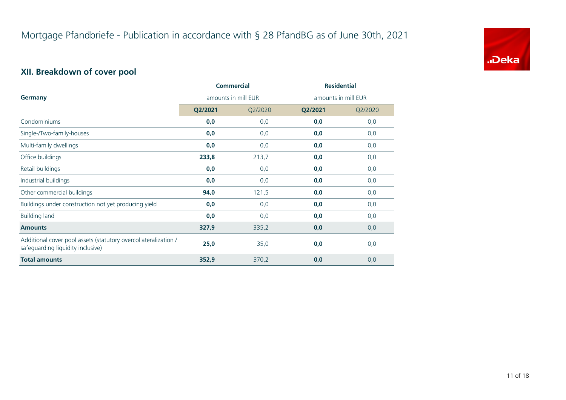

## **XII. Breakdown of cover pool**

|                                                                                                      | <b>Commercial</b>   |         | <b>Residential</b>  |         |
|------------------------------------------------------------------------------------------------------|---------------------|---------|---------------------|---------|
| <b>Germany</b>                                                                                       | amounts in mill EUR |         | amounts in mill EUR |         |
|                                                                                                      | Q2/2021             | Q2/2020 | Q2/2021             | Q2/2020 |
| Condominiums                                                                                         | 0,0                 | 0,0     | 0,0                 | 0,0     |
| Single-/Two-family-houses                                                                            | 0,0                 | 0,0     | 0,0                 | 0,0     |
| Multi-family dwellings                                                                               | 0,0                 | 0,0     | 0,0                 | 0,0     |
| Office buildings                                                                                     | 233,8               | 213,7   | 0,0                 | 0,0     |
| Retail buildings                                                                                     | 0,0                 | 0,0     | 0,0                 | 0,0     |
| Industrial buildings                                                                                 | 0,0                 | 0,0     | 0,0                 | 0,0     |
| Other commercial buildings                                                                           | 94,0                | 121,5   | 0,0                 | 0,0     |
| Buildings under construction not yet producing yield                                                 | 0,0                 | 0,0     | 0,0                 | 0,0     |
| <b>Building land</b>                                                                                 | 0,0                 | 0,0     | 0,0                 | 0,0     |
| <b>Amounts</b>                                                                                       | 327,9               | 335,2   | 0,0                 | 0,0     |
| Additional cover pool assets (statutory overcollateralization /<br>safeguarding liquidity inclusive) | 25,0                | 35,0    | 0,0                 | 0,0     |
| <b>Total amounts</b>                                                                                 | 352,9               | 370,2   | 0,0                 | 0,0     |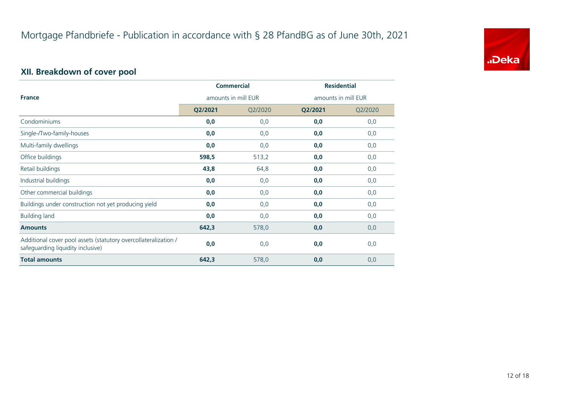

## **XII. Breakdown of cover pool**

|                                                                                                      | <b>Commercial</b>   |         | <b>Residential</b>  |         |
|------------------------------------------------------------------------------------------------------|---------------------|---------|---------------------|---------|
| <b>France</b>                                                                                        | amounts in mill EUR |         | amounts in mill EUR |         |
|                                                                                                      | Q2/2021             | Q2/2020 | Q2/2021             | Q2/2020 |
| Condominiums                                                                                         | 0,0                 | 0,0     | 0,0                 | 0,0     |
| Single-/Two-family-houses                                                                            | 0,0                 | 0,0     | 0,0                 | 0,0     |
| Multi-family dwellings                                                                               | 0,0                 | 0,0     | 0,0                 | 0,0     |
| Office buildings                                                                                     | 598,5               | 513,2   | 0,0                 | 0,0     |
| Retail buildings                                                                                     | 43,8                | 64,8    | 0,0                 | 0,0     |
| Industrial buildings                                                                                 | 0,0                 | 0,0     | 0,0                 | 0,0     |
| Other commercial buildings                                                                           | 0,0                 | 0,0     | 0,0                 | 0,0     |
| Buildings under construction not yet producing yield                                                 | 0,0                 | 0,0     | 0,0                 | 0,0     |
| <b>Building land</b>                                                                                 | 0,0                 | 0,0     | 0,0                 | 0,0     |
| <b>Amounts</b>                                                                                       | 642,3               | 578,0   | 0,0                 | 0,0     |
| Additional cover pool assets (statutory overcollateralization /<br>safeguarding liquidity inclusive) | 0,0                 | 0,0     | 0,0                 | 0,0     |
| <b>Total amounts</b>                                                                                 | 642,3               | 578,0   | 0,0                 | 0,0     |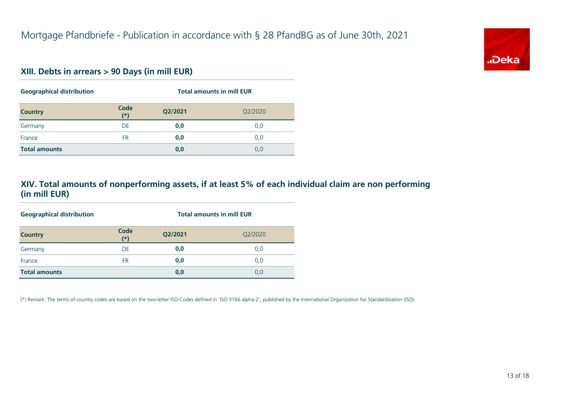

#### **XIII. Debts in arrears > 90 Days (in mill EUR)**

| <b>Geographical distribution</b> |               | <b>Total amounts in mill EUR</b> |         |  |
|----------------------------------|---------------|----------------------------------|---------|--|
| <b>Country</b>                   | Code<br>$(*)$ | Q2/2021                          | Q2/2020 |  |
| Germany                          | DE            | 0,0                              | 0,0     |  |
| France                           | <b>FR</b>     | 0,0                              | 0,0     |  |
| <b>Total amounts</b>             |               | 0,0                              | 0,0     |  |

#### **XIV. Total amounts of nonperforming assets, if at least 5% of each individual claim are non performing (in mill EUR)**

| <b>Geographical distribution</b> | <b>Total amounts in mill EUR</b> |         |         |  |
|----------------------------------|----------------------------------|---------|---------|--|
| <b>Country</b>                   | Code<br>$(*)$                    | Q2/2021 | Q2/2020 |  |
| Germany                          | DE                               | 0,0     | 0,0     |  |
| France                           | <b>FR</b>                        | 0,0     | 0,0     |  |
| <b>Total amounts</b>             |                                  | 0,0     | 0,0     |  |

(\*) Remark: The terms of country codes are based on the two-letter ISO-Codes defined in 'ISO 3166 alpha-2', published by the International Organization for Standardization (ISO).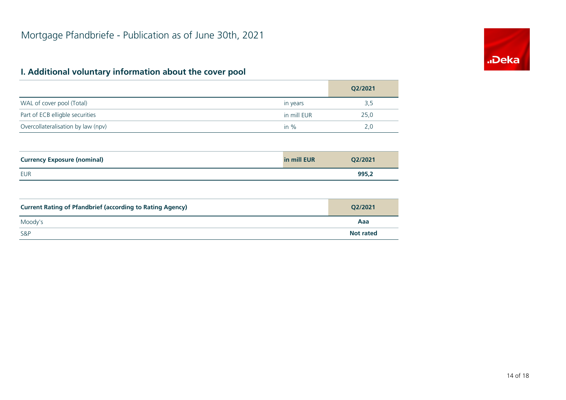## **I. Additional voluntary information about the cover pool**

|                                                                  |             | Q2/2021          |
|------------------------------------------------------------------|-------------|------------------|
| WAL of cover pool (Total)                                        | in years    | 3,5              |
| Part of ECB elligble securities                                  | in mill EUR | 25,0             |
| Overcollateralisation by law (npv)                               | in $%$      | 2,0              |
|                                                                  |             |                  |
| <b>Currency Exposure (nominal)</b>                               | in mill EUR | Q2/2021          |
| <b>EUR</b>                                                       |             | 995,2            |
|                                                                  |             |                  |
| <b>Current Rating of Pfandbrief (according to Rating Agency)</b> |             | Q2/2021          |
| Moody's                                                          |             | Aaa              |
| S&P                                                              |             | <b>Not rated</b> |

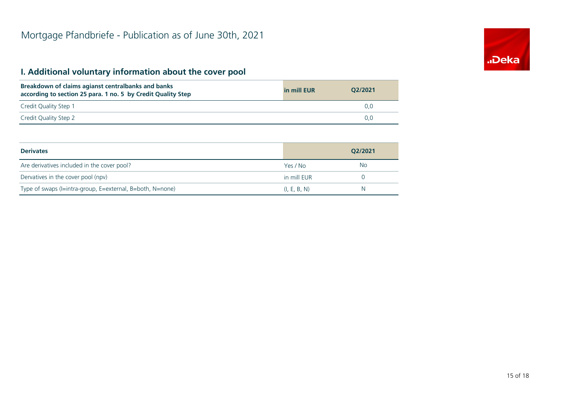## **I. Additional voluntary information about the cover pool**

| Breakdown of claims agianst centralbanks and banks<br>according to section 25 para. 1 no. 5 by Credit Quality Step | in mill EUR | 02/2021 |
|--------------------------------------------------------------------------------------------------------------------|-------------|---------|
| Credit Quality Step 1                                                                                              |             | 0.0     |
| Credit Quality Step 2                                                                                              |             | 0.0     |

| <b>Derivates</b>                                          |              | O2/2021 |
|-----------------------------------------------------------|--------------|---------|
| Are derivatives included in the cover pool?               | Yes / No     | No      |
| Dervatives in the cover pool (npv)                        | in mill EUR  |         |
| Type of swaps (I=intra-group, E=external, B=both, N=none) | (I, E, B, N) | N       |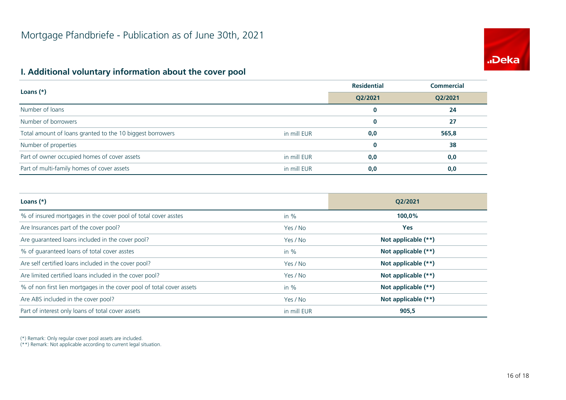# **.Deka**

## **I. Additional voluntary information about the cover pool**

| Loans $(*)$                                               |             | <b>Residential</b> | <b>Commercial</b> |
|-----------------------------------------------------------|-------------|--------------------|-------------------|
|                                                           |             | Q2/2021            | Q2/2021           |
| Number of loans                                           |             | 0                  | 24                |
| Number of borrowers                                       |             | $\bf{0}$           | 27                |
| Total amount of loans granted to the 10 biggest borrowers | in mill EUR | 0,0                | 565,8             |
| Number of properties                                      |             | $\bf{0}$           | 38                |
| Part of owner occupied homes of cover assets              | in mill EUR | 0,0                | 0,0               |
| Part of multi-family homes of cover assets                | in mill EUR | 0,0                | 0,0               |

| Loans $(*)$                                                           |             | O2/2021               |
|-----------------------------------------------------------------------|-------------|-----------------------|
| % of insured mortgages in the cover pool of total cover asstes        | in $%$      | 100,0%                |
| Are Insurances part of the cover pool?                                | Yes / No    | <b>Yes</b>            |
| Are guaranteed loans included in the cover pool?                      | Yes / No    | Not applicable (**)   |
| % of quaranteed loans of total cover asstes                           | in $%$      | Not applicable (**)   |
| Are self certified loans included in the cover pool?                  | Yes / No    | Not applicable (**)   |
| Are limited certified loans included in the cover pool?               | Yes / No    | Not applicable (**)   |
| % of non first lien mortgages in the cover pool of total cover assets | in $%$      | Not applicable (**)   |
| Are ABS included in the cover pool?                                   | Yes / No    | Not applicable $(**)$ |
| Part of interest only loans of total cover assets                     | in mill EUR | 905,5                 |

(\*) Remark: Only regular cover pool assets are included.

(\*\*) Remark: Not applicable according to current legal situation.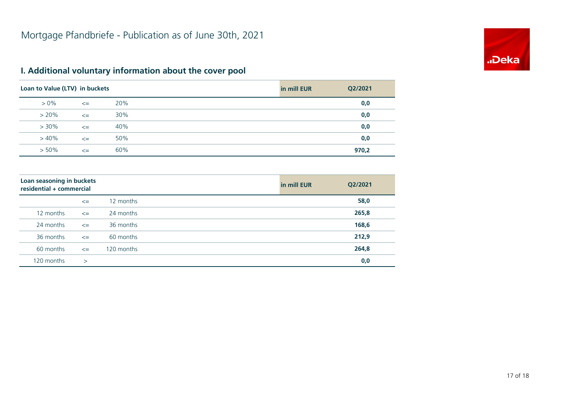

## **I. Additional voluntary information about the cover pool**

| Loan to Value (LTV) in buckets |        |     | in mill EUR | Q2/2021 |
|--------------------------------|--------|-----|-------------|---------|
| $> 0\%$                        | $\leq$ | 20% |             | 0,0     |
| $> 20\%$                       | $\leq$ | 30% |             | 0,0     |
| $> 30\%$                       | $\leq$ | 40% |             | 0,0     |
| $>40\%$                        | $\leq$ | 50% |             | 0,0     |
| $> 50\%$                       | $\leq$ | 60% |             | 970,2   |

| Loan seasoning in buckets<br>residential + commercial |        |            | in mill EUR | Q2/2021 |
|-------------------------------------------------------|--------|------------|-------------|---------|
|                                                       | $\leq$ | 12 months  |             | 58,0    |
| 12 months                                             | $\leq$ | 24 months  |             | 265,8   |
| 24 months                                             | $\leq$ | 36 months  |             | 168,6   |
| 36 months                                             | $\leq$ | 60 months  |             | 212,9   |
| 60 months                                             | $\leq$ | 120 months |             | 264,8   |
| 120 months                                            | $\geq$ |            |             | 0,0     |